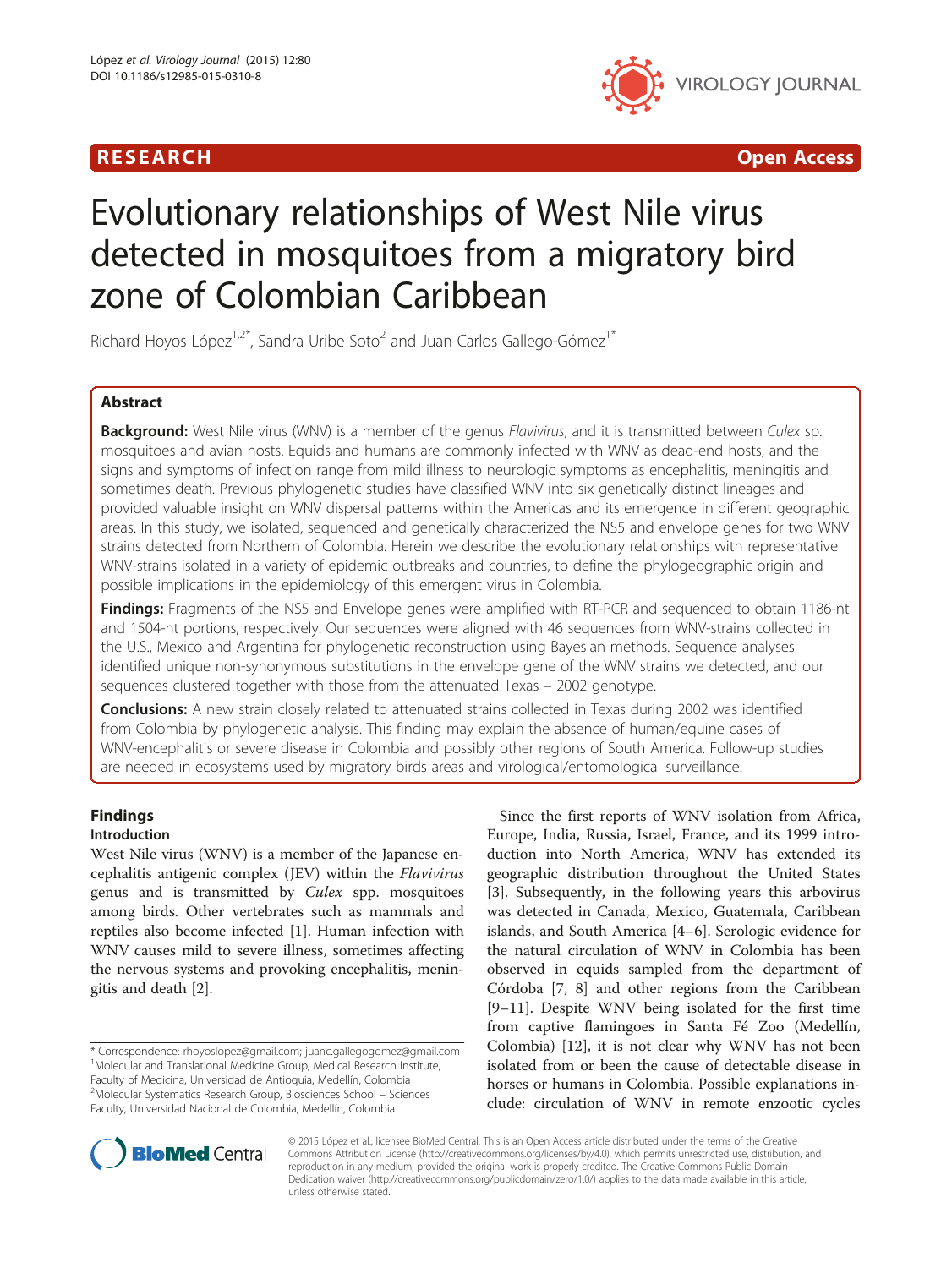

R E S EAR CH Open Access

# Evolutionary relationships of West Nile virus detected in mosquitoes from a migratory bird zone of Colombian Caribbean

Richard Hoyos López<sup>1,2\*</sup>, Sandra Uribe Soto<sup>2</sup> and Juan Carlos Gallego-Gómez<sup>1\*</sup>

### Abstract

Background: West Nile virus (WNV) is a member of the genus Flavivirus, and it is transmitted between Culex sp. mosquitoes and avian hosts. Equids and humans are commonly infected with WNV as dead-end hosts, and the signs and symptoms of infection range from mild illness to neurologic symptoms as encephalitis, meningitis and sometimes death. Previous phylogenetic studies have classified WNV into six genetically distinct lineages and provided valuable insight on WNV dispersal patterns within the Americas and its emergence in different geographic areas. In this study, we isolated, sequenced and genetically characterized the NS5 and envelope genes for two WNV strains detected from Northern of Colombia. Herein we describe the evolutionary relationships with representative WNV-strains isolated in a variety of epidemic outbreaks and countries, to define the phylogeographic origin and possible implications in the epidemiology of this emergent virus in Colombia.

Findings: Fragments of the NS5 and Envelope genes were amplified with RT-PCR and sequenced to obtain 1186-nt and 1504-nt portions, respectively. Our sequences were aligned with 46 sequences from WNV-strains collected in the U.S., Mexico and Argentina for phylogenetic reconstruction using Bayesian methods. Sequence analyses identified unique non-synonymous substitutions in the envelope gene of the WNV strains we detected, and our sequences clustered together with those from the attenuated Texas – 2002 genotype.

**Conclusions:** A new strain closely related to attenuated strains collected in Texas during 2002 was identified from Colombia by phylogenetic analysis. This finding may explain the absence of human/equine cases of WNV-encephalitis or severe disease in Colombia and possibly other regions of South America. Follow-up studies are needed in ecosystems used by migratory birds areas and virological/entomological surveillance.

## Findings

#### Introduction

West Nile virus (WNV) is a member of the Japanese encephalitis antigenic complex (JEV) within the Flavivirus genus and is transmitted by Culex spp. mosquitoes among birds. Other vertebrates such as mammals and reptiles also become infected [\[1](#page-5-0)]. Human infection with WNV causes mild to severe illness, sometimes affecting the nervous systems and provoking encephalitis, meningitis and death [[2\]](#page-5-0).

Since the first reports of WNV isolation from Africa, Europe, India, Russia, Israel, France, and its 1999 introduction into North America, WNV has extended its geographic distribution throughout the United States [[3\]](#page-5-0). Subsequently, in the following years this arbovirus was detected in Canada, Mexico, Guatemala, Caribbean islands, and South America [[4](#page-5-0)–[6](#page-5-0)]. Serologic evidence for the natural circulation of WNV in Colombia has been observed in equids sampled from the department of Córdoba [\[7, 8\]](#page-5-0) and other regions from the Caribbean [[9](#page-5-0)–[11\]](#page-5-0). Despite WNV being isolated for the first time from captive flamingoes in Santa Fé Zoo (Medellín, Colombia) [[12\]](#page-5-0), it is not clear why WNV has not been isolated from or been the cause of detectable disease in horses or humans in Colombia. Possible explanations include: circulation of WNV in remote enzootic cycles



© 2015 López et al.; licensee BioMed Central. This is an Open Access article distributed under the terms of the Creative Commons Attribution License [\(http://creativecommons.org/licenses/by/4.0\)](http://creativecommons.org/licenses/by/4.0), which permits unrestricted use, distribution, and reproduction in any medium, provided the original work is properly credited. The Creative Commons Public Domain Dedication waiver [\(http://creativecommons.org/publicdomain/zero/1.0/](http://creativecommons.org/publicdomain/zero/1.0/)) applies to the data made available in this article, unless otherwise stated.

<sup>\*</sup> Correspondence: [rhoyoslopez@gmail.com;](mailto:rhoyoslopez@gmail.com) [juanc.gallegogomez@gmail.com](mailto:juanc.gallegogomez@gmail.com) <sup>1</sup> <sup>1</sup>Molecular and Translational Medicine Group, Medical Research Institute, Faculty of Medicina, Universidad de Antioquia, Medellín, Colombia <sup>2</sup>Molecular Systematics Research Group, Biosciences School - Sciences Faculty, Universidad Nacional de Colombia, Medellín, Colombia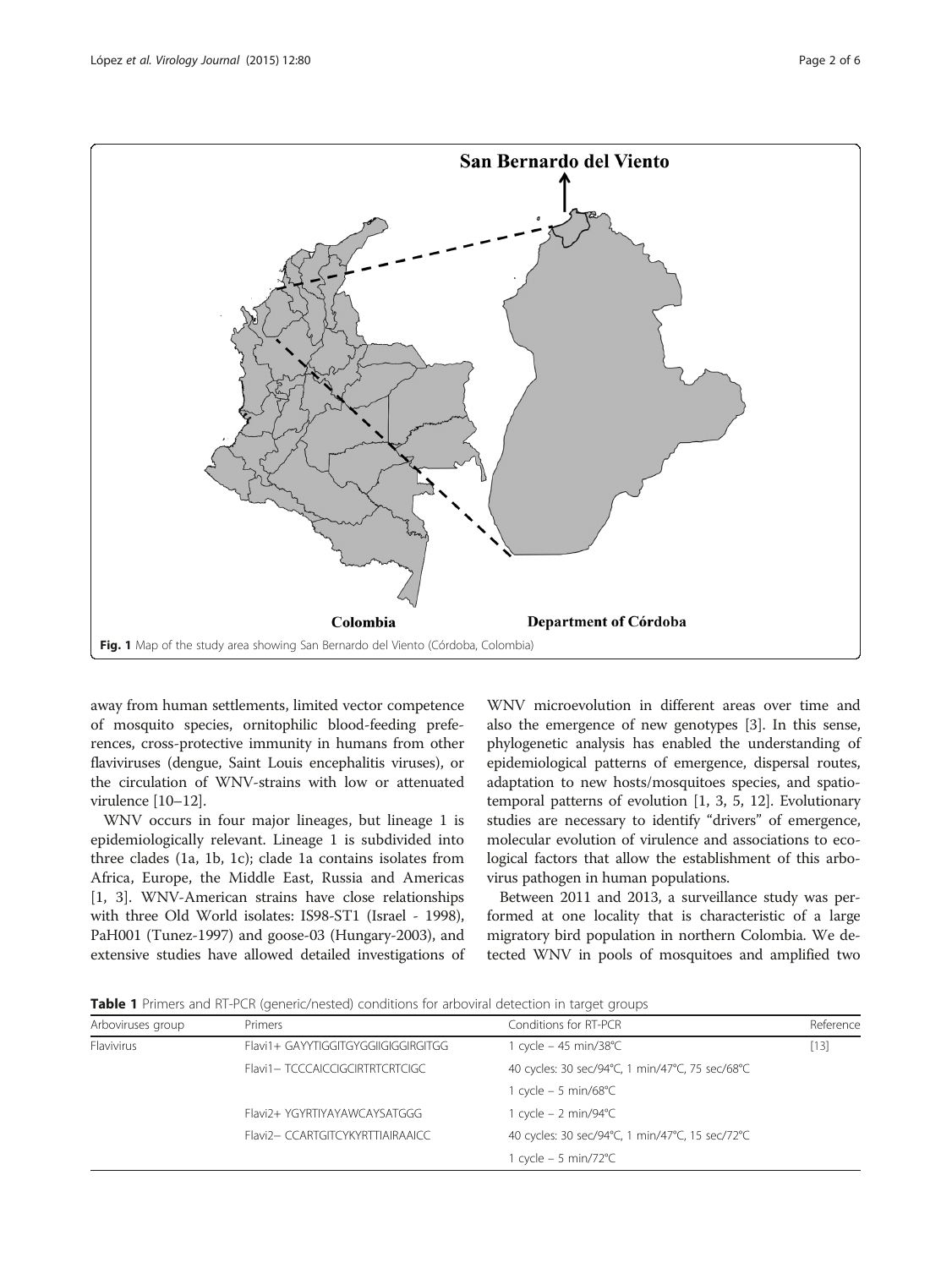

<span id="page-1-0"></span>

away from human settlements, limited vector competence of mosquito species, ornitophilic blood-feeding preferences, cross-protective immunity in humans from other flaviviruses (dengue, Saint Louis encephalitis viruses), or the circulation of WNV-strains with low or attenuated virulence [[10](#page-5-0)–[12\]](#page-5-0).

WNV occurs in four major lineages, but lineage 1 is epidemiologically relevant. Lineage 1 is subdivided into three clades (1a, 1b, 1c); clade 1a contains isolates from Africa, Europe, the Middle East, Russia and Americas [[1, 3](#page-5-0)]. WNV-American strains have close relationships with three Old World isolates: IS98-ST1 (Israel - 1998), PaH001 (Tunez-1997) and goose-03 (Hungary-2003), and extensive studies have allowed detailed investigations of

WNV microevolution in different areas over time and also the emergence of new genotypes [\[3](#page-5-0)]. In this sense, phylogenetic analysis has enabled the understanding of epidemiological patterns of emergence, dispersal routes, adaptation to new hosts/mosquitoes species, and spatiotemporal patterns of evolution [\[1](#page-5-0), [3, 5](#page-5-0), [12](#page-5-0)]. Evolutionary studies are necessary to identify "drivers" of emergence, molecular evolution of virulence and associations to ecological factors that allow the establishment of this arbovirus pathogen in human populations.

Between 2011 and 2013, a surveillance study was performed at one locality that is characteristic of a large migratory bird population in northern Colombia. We detected WNV in pools of mosquitoes and amplified two

**Table 1** Primers and RT-PCR (generic/nested) conditions for arboviral detection in target groups

| Arboviruses group | Primers                             | Conditions for RT-PCR                           | Reference |
|-------------------|-------------------------------------|-------------------------------------------------|-----------|
| Flavivirus        | Flavi1+ GAYYTIGGITGYGGIIGIGGIRGITGG | 1 cycle - 45 min/38°C<br>$[13]$                 |           |
|                   | Flavi1-TCCCAICCIGCIRTRTCRTCIGC      | 40 cycles: 30 sec/94°C, 1 min/47°C, 75 sec/68°C |           |
|                   |                                     | 1 cycle $-5$ min/68°C                           |           |
|                   | Flavi2+ YGYRTIYAYAWCAYSATGGG        | 1 cycle – 2 min/94°C                            |           |
|                   | Flavi2-CCARTGITCYKYRTTIAIRAAICC     | 40 cycles: 30 sec/94°C, 1 min/47°C, 15 sec/72°C |           |
|                   |                                     | 1 cycle $-5$ min/72 $^{\circ}$ C                |           |
|                   |                                     |                                                 |           |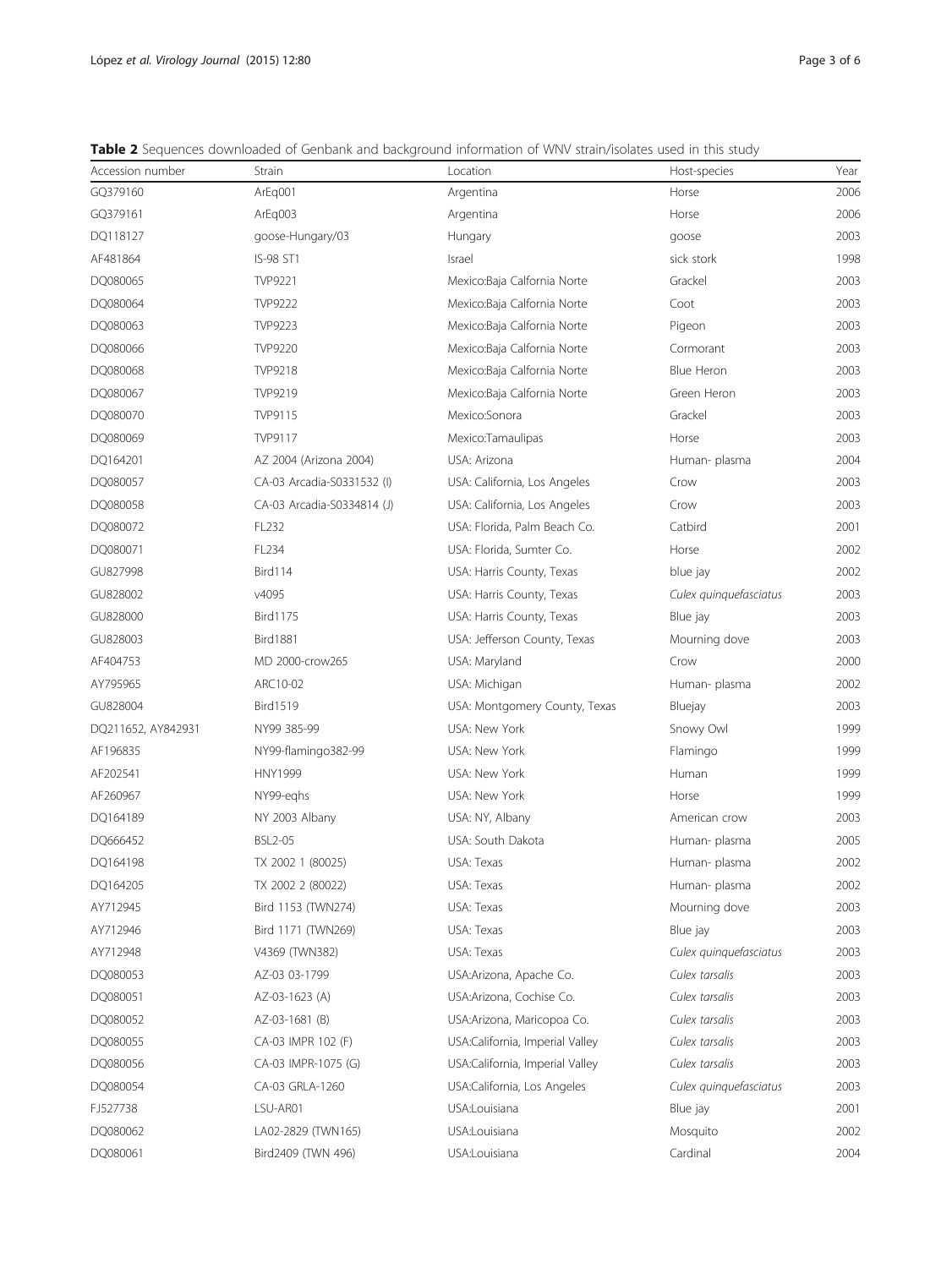<span id="page-2-0"></span>

| Accession number   | Strain                     | Location                        | Host-species           | Year |
|--------------------|----------------------------|---------------------------------|------------------------|------|
| GQ379160           | ArEg001                    | Argentina                       | Horse                  | 2006 |
| GQ379161           | ArEg003                    | Argentina                       | Horse                  | 2006 |
| DQ118127           | goose-Hungary/03           | Hungary                         | goose                  | 2003 |
| AF481864           | IS-98 ST1                  | Israel                          | sick stork             | 1998 |
| DQ080065           | TVP9221                    | Mexico:Baja Calfornia Norte     | Grackel                | 2003 |
| DQ080064           | <b>TVP9222</b>             | Mexico:Baja Calfornia Norte     | Coot                   | 2003 |
| DQ080063           | <b>TVP9223</b>             | Mexico:Baja Calfornia Norte     | Pigeon                 | 2003 |
| DQ080066           | <b>TVP9220</b>             | Mexico:Baja Calfornia Norte     | Cormorant              | 2003 |
| DQ080068           | <b>TVP9218</b>             | Mexico:Baja Calfornia Norte     | Blue Heron             | 2003 |
| DQ080067           | TVP9219                    | Mexico:Baja Calfornia Norte     | Green Heron            | 2003 |
| DQ080070           | TVP9115                    | Mexico:Sonora                   | Grackel                | 2003 |
| DQ080069           | TVP9117                    | Mexico:Tamaulipas               | Horse                  | 2003 |
| DQ164201           | AZ 2004 (Arizona 2004)     | USA: Arizona                    | Human- plasma          | 2004 |
| DQ080057           | CA-03 Arcadia-S0331532 (I) | USA: California, Los Angeles    | Crow                   | 2003 |
| DQ080058           | CA-03 Arcadia-S0334814 (J) | USA: California, Los Angeles    | Crow                   | 2003 |
| DQ080072           | FL232                      | USA: Florida, Palm Beach Co.    | Catbird                | 2001 |
| DQ080071           | FL234                      | USA: Florida, Sumter Co.        | Horse                  | 2002 |
| GU827998           | Bird114                    | USA: Harris County, Texas       | blue jay               | 2002 |
| GU828002           | v4095                      | USA: Harris County, Texas       | Culex quinquefasciatus | 2003 |
| GU828000           | <b>Bird1175</b>            | USA: Harris County, Texas       | Blue jay               | 2003 |
| GU828003           | <b>Bird1881</b>            | USA: Jefferson County, Texas    | Mourning dove          | 2003 |
| AF404753           | MD 2000-crow265            | USA: Maryland                   | Crow                   | 2000 |
| AY795965           | ARC10-02                   | USA: Michigan                   | Human- plasma          | 2002 |
| GU828004           | <b>Bird1519</b>            | USA: Montgomery County, Texas   | Bluejay                | 2003 |
| DQ211652, AY842931 | NY99 385-99                | USA: New York                   | Snowy Owl              | 1999 |
| AF196835           | NY99-flamingo382-99        | USA: New York                   | Flamingo               | 1999 |
| AF202541           | <b>HNY1999</b>             | USA: New York                   | Human                  | 1999 |
| AF260967           | NY99-eahs                  | USA: New York                   | Horse                  | 1999 |
| DQ164189           | NY 2003 Albany             | USA: NY, Albany                 | American crow          | 2003 |
| DQ666452           | <b>BSL2-05</b>             | USA: South Dakota               | Human-plasma           | 2005 |
| DQ164198           | TX 2002 1 (80025)          | USA: Texas                      | Human-plasma           | 2002 |
| DQ164205           | TX 2002 2 (80022)          | USA: Texas                      | Human- plasma          | 2002 |
| AY712945           | Bird 1153 (TWN274)         | USA: Texas                      | Mourning dove          | 2003 |
| AY712946           | Bird 1171 (TWN269)         | USA: Texas                      | Blue jay               | 2003 |
| AY712948           | V4369 (TWN382)             | USA: Texas                      | Culex quinquefasciatus | 2003 |
| DQ080053           | AZ-03 03-1799              | USA:Arizona, Apache Co.         | Culex tarsalis         | 2003 |
| DQ080051           | AZ-03-1623 (A)             | USA:Arizona, Cochise Co.        | Culex tarsalis         | 2003 |
| DQ080052           | AZ-03-1681 (B)             | USA:Arizona, Maricopoa Co.      | Culex tarsalis         | 2003 |
| DQ080055           | CA-03 IMPR 102 (F)         | USA:California, Imperial Valley | Culex tarsalis         | 2003 |
| DQ080056           | CA-03 IMPR-1075 (G)        | USA:California, Imperial Valley | Culex tarsalis         | 2003 |
| DQ080054           | CA-03 GRLA-1260            | USA:California, Los Angeles     | Culex quinquefasciatus | 2003 |
| FJ527738           | LSU-AR01                   | USA:Louisiana                   | Blue jay               | 2001 |
| DQ080062           | LA02-2829 (TWN165)         | USA:Louisiana                   | Mosquito               | 2002 |
| DQ080061           | Bird2409 (TWN 496)         | USA:Louisiana                   | Cardinal               | 2004 |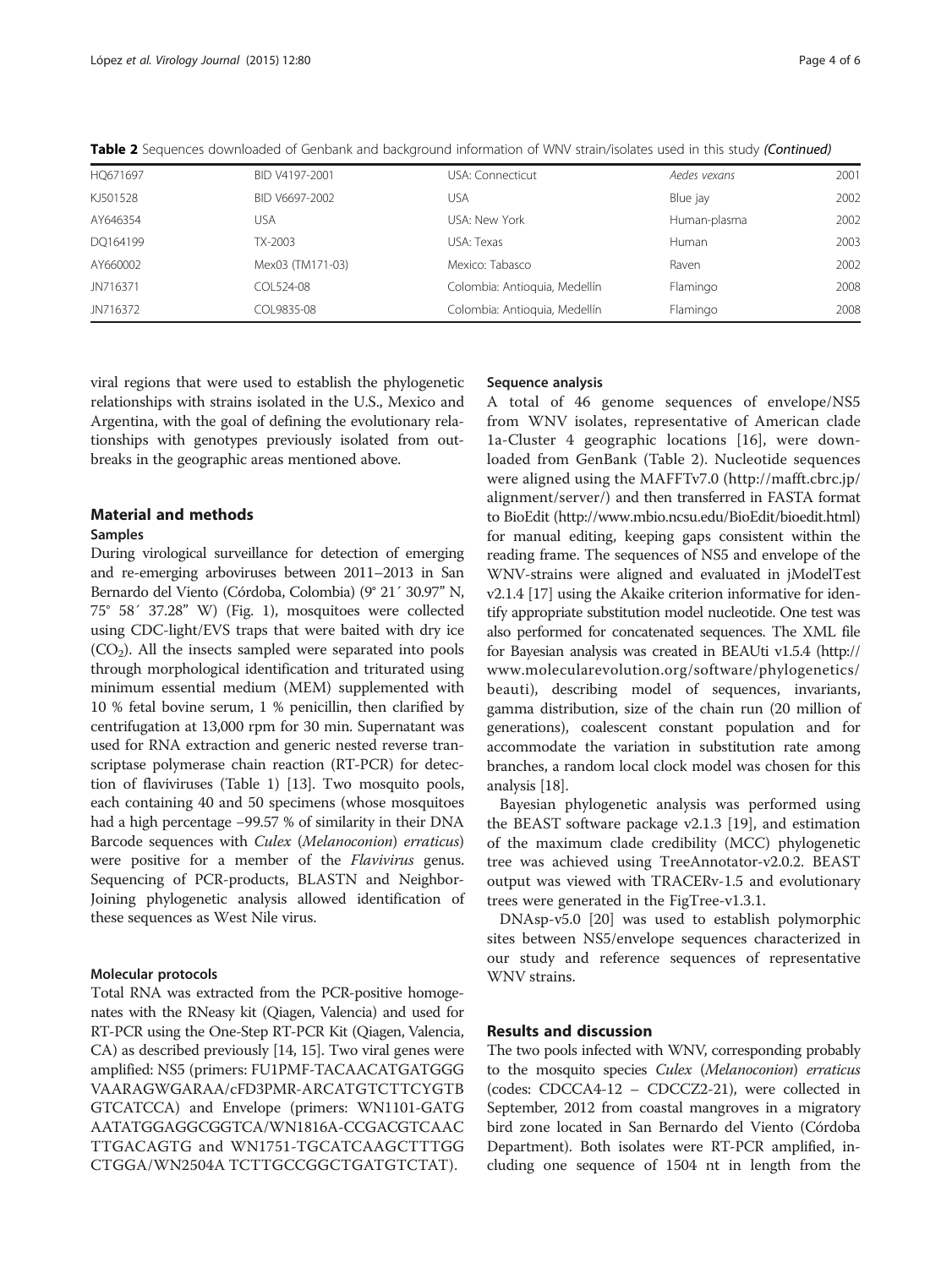| JN716372 | COL9835-08       | Colombia: Antioquia, Medellín | Flamingo     | 2008 |
|----------|------------------|-------------------------------|--------------|------|
| JN716371 | COL524-08        | Colombia: Antioquia, Medellín | Flamingo     | 2008 |
| AY660002 | Mex03 (TM171-03) | Mexico: Tabasco               | Raven        | 2002 |
| DQ164199 | TX-2003          | USA: Texas                    | Human        | 2003 |
| AY646354 | USA              | USA: New York                 | Human-plasma | 2002 |
| KJ501528 | BID V6697-2002   | USA                           | Blue jay     | 2002 |
| HQ671697 | BID V4197-2001   | USA: Connecticut              | Aedes vexans | 2001 |

Table 2 Sequences downloaded of Genbank and background information of WNV strain/isolates used in this study (Continued)

viral regions that were used to establish the phylogenetic relationships with strains isolated in the U.S., Mexico and Argentina, with the goal of defining the evolutionary relationships with genotypes previously isolated from outbreaks in the geographic areas mentioned above.

#### Material and methods

#### Samples

During virological surveillance for detection of emerging and re-emerging arboviruses between 2011–2013 in San Bernardo del Viento (Córdoba, Colombia) (9° 21´ 30.97" N, 75° 58´ 37.28" W) (Fig. [1](#page-1-0)), mosquitoes were collected using CDC-light/EVS traps that were baited with dry ice  $(CO<sub>2</sub>)$ . All the insects sampled were separated into pools through morphological identification and triturated using minimum essential medium (MEM) supplemented with 10 % fetal bovine serum, 1 % penicillin, then clarified by centrifugation at 13,000 rpm for 30 min. Supernatant was used for RNA extraction and generic nested reverse transcriptase polymerase chain reaction (RT-PCR) for detection of flaviviruses (Table [1\)](#page-1-0) [[13](#page-5-0)]. Two mosquito pools, each containing 40 and 50 specimens (whose mosquitoes had a high percentage −99.57 % of similarity in their DNA Barcode sequences with Culex (Melanoconion) erraticus) were positive for a member of the *Flavivirus* genus. Sequencing of PCR-products, BLASTN and Neighbor-Joining phylogenetic analysis allowed identification of these sequences as West Nile virus.

#### Molecular protocols

Total RNA was extracted from the PCR-positive homogenates with the RNeasy kit (Qiagen, Valencia) and used for RT-PCR using the One-Step RT-PCR Kit (Qiagen, Valencia, CA) as described previously [\[14, 15\]](#page-5-0). Two viral genes were amplified: NS5 (primers: FU1PMF-TACAACATGATGGG VAARAGWGARAA/cFD3PMR-ARCATGTCTTCYGTB GTCATCCA) and Envelope (primers: WN1101-GATG AATATGGAGGCGGTCA/WN1816A-CCGACGTCAAC TTGACAGTG and WN1751-TGCATCAAGCTTTGG CTGGA/WN2504A TCTTGCCGGCTGATGTCTAT).

#### Sequence analysis

A total of 46 genome sequences of envelope/NS5 from WNV isolates, representative of American clade 1a-Cluster 4 geographic locations [\[16](#page-5-0)], were downloaded from GenBank (Table [2\)](#page-2-0). Nucleotide sequences were aligned using the MAFFTv7.0 ([http://mafft.cbrc.jp/](http://mafft.cbrc.jp/alignment/server/) [alignment/server/\)](http://mafft.cbrc.jp/alignment/server/) and then transferred in FASTA format to BioEdit [\(http://www.mbio.ncsu.edu/BioEdit/bioedit.html](http://www.mbio.ncsu.edu/BioEdit/bioedit.html)) for manual editing, keeping gaps consistent within the reading frame. The sequences of NS5 and envelope of the WNV-strains were aligned and evaluated in jModelTest v2.1.4 [\[17](#page-5-0)] using the Akaike criterion informative for identify appropriate substitution model nucleotide. One test was also performed for concatenated sequences. The XML file for Bayesian analysis was created in BEAUti v1.5.4 [\(http://](http://www.molecularevolution.org/software/phylogenetics/beauti) [www.molecularevolution.org/software/phylogenetics/](http://www.molecularevolution.org/software/phylogenetics/beauti) [beauti\)](http://www.molecularevolution.org/software/phylogenetics/beauti), describing model of sequences, invariants, gamma distribution, size of the chain run (20 million of generations), coalescent constant population and for accommodate the variation in substitution rate among branches, a random local clock model was chosen for this analysis [\[18\]](#page-5-0).

Bayesian phylogenetic analysis was performed using the BEAST software package v2.1.3 [\[19](#page-5-0)], and estimation of the maximum clade credibility (MCC) phylogenetic tree was achieved using TreeAnnotator-v2.0.2. BEAST output was viewed with TRACERv-1.5 and evolutionary trees were generated in the FigTree-v1.3.1.

DNAsp-v5.0 [[20](#page-5-0)] was used to establish polymorphic sites between NS5/envelope sequences characterized in our study and reference sequences of representative WNV strains.

#### Results and discussion

The two pools infected with WNV, corresponding probably to the mosquito species Culex (Melanoconion) erraticus (codes: CDCCA4-12 – CDCCZ2-21), were collected in September, 2012 from coastal mangroves in a migratory bird zone located in San Bernardo del Viento (Córdoba Department). Both isolates were RT-PCR amplified, including one sequence of 1504 nt in length from the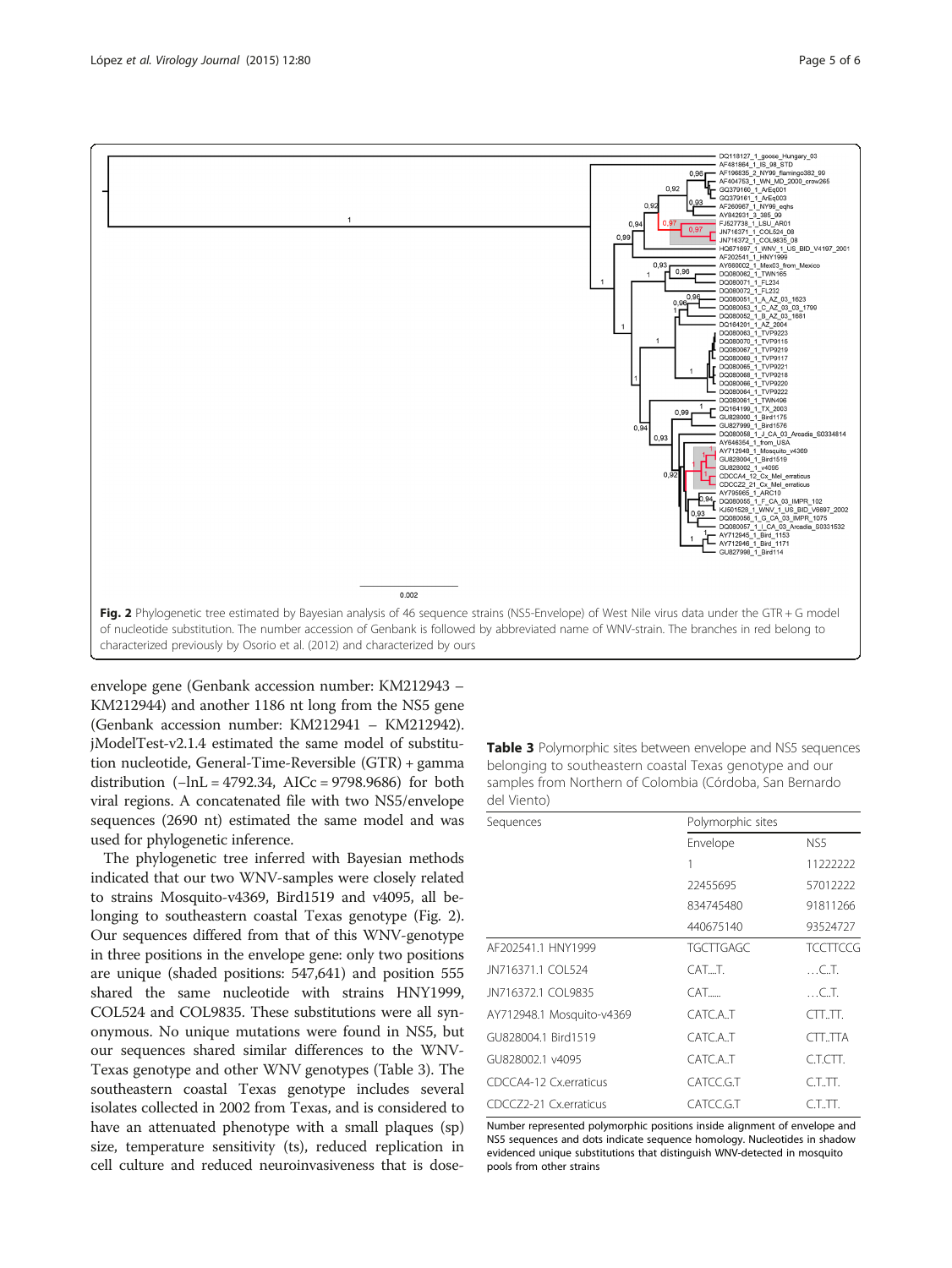<span id="page-4-0"></span>

envelope gene (Genbank accession number: KM212943 – KM212944) and another 1186 nt long from the NS5 gene (Genbank accession number: KM212941 – KM212942). jModelTest-v2.1.4 estimated the same model of substitution nucleotide, General-Time-Reversible (GTR) + gamma distribution  $(-\ln L = 4792.34, \text{ AICc} = 9798.9686)$  for both viral regions. A concatenated file with two NS5/envelope sequences (2690 nt) estimated the same model and was used for phylogenetic inference.

The phylogenetic tree inferred with Bayesian methods indicated that our two WNV-samples were closely related to strains Mosquito-v4369, Bird1519 and v4095, all belonging to southeastern coastal Texas genotype (Fig. 2). Our sequences differed from that of this WNV-genotype in three positions in the envelope gene: only two positions are unique (shaded positions: 547,641) and position 555 shared the same nucleotide with strains HNY1999, COL524 and COL9835. These substitutions were all synonymous. No unique mutations were found in NS5, but our sequences shared similar differences to the WNV-Texas genotype and other WNV genotypes (Table 3). The southeastern coastal Texas genotype includes several isolates collected in 2002 from Texas, and is considered to have an attenuated phenotype with a small plaques (sp) size, temperature sensitivity (ts), reduced replication in cell culture and reduced neuroinvasiveness that is dose**Table 3** Polymorphic sites between envelope and NS5 sequences belonging to southeastern coastal Texas genotype and our samples from Northern of Colombia (Córdoba, San Bernardo del Viento)

| Sequences                 | Polymorphic sites |                 |  |
|---------------------------|-------------------|-----------------|--|
|                           | Envelope          | NS5             |  |
|                           | 1                 | 11222222        |  |
|                           | 22455695          | 57012222        |  |
|                           | 834745480         | 91811266        |  |
|                           | 440675140         | 93524727        |  |
| AF202541.1 HNY1999        | <b>TGCTTGAGC</b>  | <b>TCCTTCCG</b> |  |
| JN716371.1 COL524         | CATT.             | $\dots$ CT.     |  |
| JN716372.1 COL9835        | CAT               | $\dots$ CT.     |  |
| AY712948.1 Mosquito-v4369 | CATC A.T          | CTLTL           |  |
| GU828004.1 Bird1519       | CATCA.T           | CTTTTA          |  |
| GU828002.1 v4095          | CATC A.T          | C.T.CTT.        |  |
| CDCCA4-12 Cx.erraticus    | CATCC.G.T         | $CLTT$ .        |  |
| CDCCZ2-21 Cx.erraticus    | CATCC.G.T         | $CLTT$ .        |  |

Number represented polymorphic positions inside alignment of envelope and NS5 sequences and dots indicate sequence homology. Nucleotides in shadow evidenced unique substitutions that distinguish WNV-detected in mosquito pools from other strains